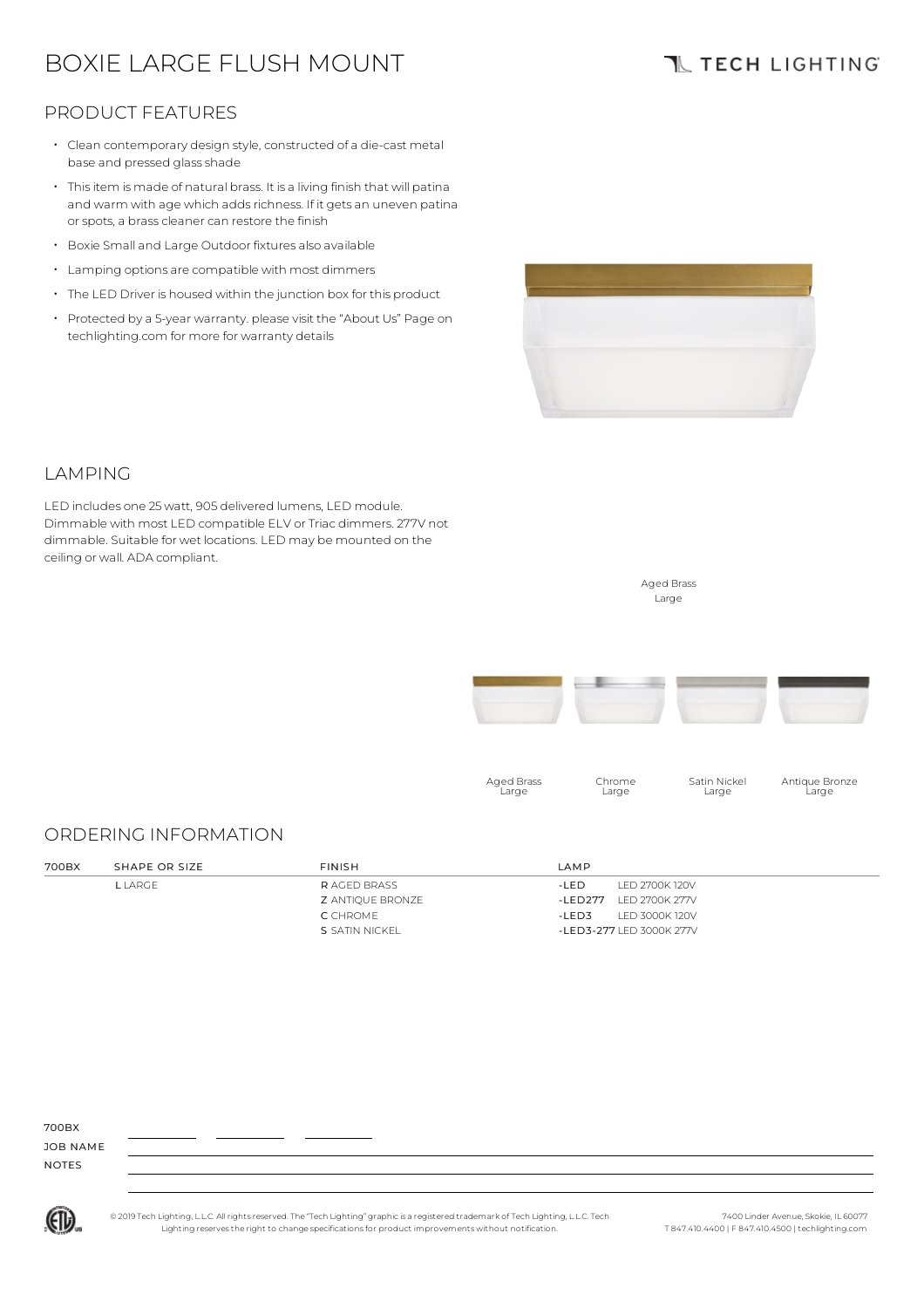# BOXIE LARGE FLUSH MOUNT

## **TL TECH LIGHTING**

### PRODUCT FEATURES

- $\cdot$  Clean contemporary design style, constructed of a die-cast metal base and pressed glass shade
- Thisitem is made of natural brass. It is a living finish that will patina and warm with age which adds richness. If it gets an uneven patina or spots, a brass cleaner can restore the finish
- Boxie Small and Large Outdoor fixtures also available
- Lamping options are compatible with most dimmers
- The LED Driver is housed within the junction box for this product
- Protected by a 5-year warranty. please visit the "About Us" Page on techlighting.com for more for warranty details



### LAMPING

LED includes one 25watt, 905 delivered lumens, LED module. Dimmable with most LED compatible ELV or Triac dimmers. 277V not dimmable. Suitable for wet locations. LED may be mounted on the ceiling or wall. ADA compliant.



Aged Brass Large

### ORDERING INFORMATION

| 700BX | SHAPE OR SIZE | <b>FINISH</b>      | LAMP                       |
|-------|---------------|--------------------|----------------------------|
|       | L LARGE I     | <b>RAGED BRASS</b> | LED 2700K 120V<br>-I FD    |
|       |               | Z ANTIQUE BRONZE   | LED 2700K 277V<br>-I FD277 |
|       |               | C CHROME           | LED 3000K 120V<br>-LED3    |
|       |               | S SATIN NICKEL     | -LED3-277 LED 3000K 277V   |

700BX

JOB NAME NOTES



© 2019 Tech Lighting, L.L.C. All rightsreserved. The "Tech Lighting" graphicis a registered trademark of Tech Lighting, L.L.C. Tech Lighting reservesthe right to change specificationsfor product improvements without notification.